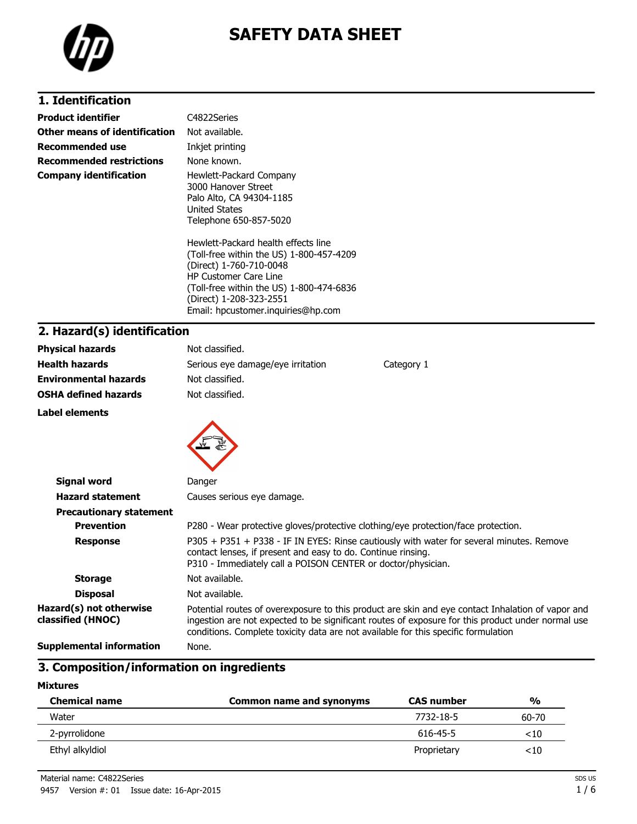

# **SAFETY DATA SHEET**

## **1. Identification**

| Product identifier            | C4822Series                                                                                                                  |
|-------------------------------|------------------------------------------------------------------------------------------------------------------------------|
| Other means of identification | Not available.                                                                                                               |
| Recommended use               | Inkjet printing                                                                                                              |
| Recommended restrictions      | None known.                                                                                                                  |
| Company identification        | Hewlett-Packard Company<br>3000 Hanover Street<br>Palo Alto, CA 94304-1185<br><b>United States</b><br>Telephone 650-857-5020 |
|                               | Hewlett-Packard health effects line<br>(Toll-free within the US) 1-800-457-42<br>(Direct) 1-760-710-0048                     |

(Toll-free within the US) 1-800-457-4209 (Direct) 1-760-710-0048 HP Customer Care Line (Toll-free within the US) 1-800-474-6836 (Direct) 1-208-323-2551 Email: hpcustomer.inquiries@hp.com

## **2. Hazard(s) identification**

| <b>Physical hazards</b>                      | Not classified.                                                                                                                                                                                                                                                                              |  |  |
|----------------------------------------------|----------------------------------------------------------------------------------------------------------------------------------------------------------------------------------------------------------------------------------------------------------------------------------------------|--|--|
| <b>Health hazards</b>                        | Serious eye damage/eye irritation<br>Category 1                                                                                                                                                                                                                                              |  |  |
| <b>Environmental hazards</b>                 | Not classified.                                                                                                                                                                                                                                                                              |  |  |
| <b>OSHA defined hazards</b>                  | Not classified.                                                                                                                                                                                                                                                                              |  |  |
| Label elements                               |                                                                                                                                                                                                                                                                                              |  |  |
| Signal word                                  | Danger                                                                                                                                                                                                                                                                                       |  |  |
| <b>Hazard statement</b>                      | Causes serious eye damage.                                                                                                                                                                                                                                                                   |  |  |
| <b>Precautionary statement</b>               |                                                                                                                                                                                                                                                                                              |  |  |
| <b>Prevention</b>                            | P280 - Wear protective gloves/protective clothing/eye protection/face protection.                                                                                                                                                                                                            |  |  |
| <b>Response</b>                              | P305 + P351 + P338 - IF IN EYES: Rinse cautiously with water for several minutes. Remove<br>contact lenses, if present and easy to do. Continue rinsing.<br>P310 - Immediately call a POISON CENTER or doctor/physician.                                                                     |  |  |
| <b>Storage</b>                               | Not available.                                                                                                                                                                                                                                                                               |  |  |
| <b>Disposal</b>                              | Not available.                                                                                                                                                                                                                                                                               |  |  |
| Hazard(s) not otherwise<br>classified (HNOC) | Potential routes of overexposure to this product are skin and eye contact Inhalation of vapor and<br>ingestion are not expected to be significant routes of exposure for this product under normal use<br>conditions. Complete toxicity data are not available for this specific formulation |  |  |
| <b>Supplemental information</b>              | None.                                                                                                                                                                                                                                                                                        |  |  |

### **3. Composition/information on ingredients**

#### **Mixtures**

| <b>Chemical name</b> | <b>Common name and synonyms</b> | <b>CAS number</b> | $\frac{0}{0}$ |
|----------------------|---------------------------------|-------------------|---------------|
| Water                |                                 | 7732-18-5         | 60-70         |
| 2-pyrrolidone        |                                 | 616-45-5          | ${<}10$       |
| Ethyl alkyldiol      |                                 | Proprietary       | ${<}10$       |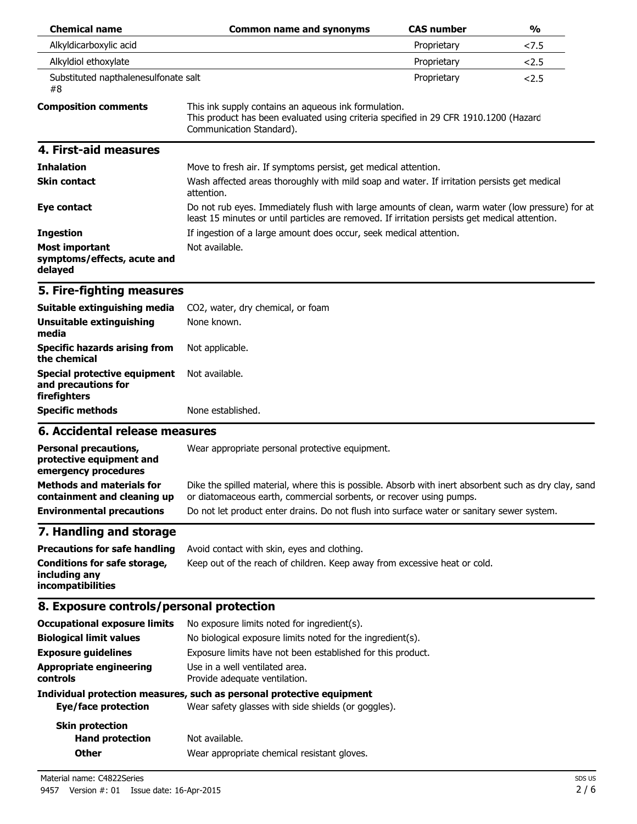| <b>Chemical name</b>                                                             | <b>Common name and synonyms</b>                                                                                                                                                                    | <b>CAS number</b> | $\frac{1}{2}$ |
|----------------------------------------------------------------------------------|----------------------------------------------------------------------------------------------------------------------------------------------------------------------------------------------------|-------------------|---------------|
| Alkyldicarboxylic acid                                                           |                                                                                                                                                                                                    | Proprietary       | <7.5          |
| Alkyldiol ethoxylate                                                             |                                                                                                                                                                                                    | Proprietary       | 2.5           |
| Substituted napthalenesulfonate salt<br>#8                                       |                                                                                                                                                                                                    | Proprietary       | 2.5           |
| <b>Composition comments</b>                                                      | This ink supply contains an aqueous ink formulation.<br>This product has been evaluated using criteria specified in 29 CFR 1910.1200 (Hazard<br>Communication Standard).                           |                   |               |
| 4. First-aid measures                                                            |                                                                                                                                                                                                    |                   |               |
| <b>Inhalation</b>                                                                | Move to fresh air. If symptoms persist, get medical attention.                                                                                                                                     |                   |               |
| <b>Skin contact</b>                                                              | Wash affected areas thoroughly with mild soap and water. If irritation persists get medical<br>attention.                                                                                          |                   |               |
| Eye contact                                                                      | Do not rub eyes. Immediately flush with large amounts of clean, warm water (low pressure) for at<br>least 15 minutes or until particles are removed. If irritation persists get medical attention. |                   |               |
| <b>Ingestion</b>                                                                 | If ingestion of a large amount does occur, seek medical attention.                                                                                                                                 |                   |               |
| <b>Most important</b><br>symptoms/effects, acute and<br>delayed                  | Not available.                                                                                                                                                                                     |                   |               |
| 5. Fire-fighting measures                                                        |                                                                                                                                                                                                    |                   |               |
| Suitable extinguishing media                                                     | CO2, water, dry chemical, or foam                                                                                                                                                                  |                   |               |
| Unsuitable extinguishing<br>media                                                | None known.                                                                                                                                                                                        |                   |               |
| <b>Specific hazards arising from</b><br>the chemical                             | Not applicable.                                                                                                                                                                                    |                   |               |
| <b>Special protective equipment</b><br>and precautions for<br>firefighters       | Not available.                                                                                                                                                                                     |                   |               |
| <b>Specific methods</b>                                                          | None established.                                                                                                                                                                                  |                   |               |
| 6. Accidental release measures                                                   |                                                                                                                                                                                                    |                   |               |
| <b>Personal precautions,</b><br>protective equipment and<br>emergency procedures | Wear appropriate personal protective equipment.                                                                                                                                                    |                   |               |
| Methods and materials for<br>containment and cleaning up                         | Dike the spilled material, where this is possible. Absorb with inert absorbent such as dry clay, sand<br>or diatomaceous earth, commercial sorbents, or recover using pumps.                       |                   |               |
| <b>Environmental precautions</b>                                                 | Do not let product enter drains. Do not flush into surface water or sanitary sewer system.                                                                                                         |                   |               |
| 7. Handling and storage                                                          |                                                                                                                                                                                                    |                   |               |
| <b>Precautions for safe handling</b>                                             | Avoid contact with skin, eyes and clothing.                                                                                                                                                        |                   |               |
| <b>Conditions for safe storage,</b><br>including any<br>incompatibilities        | Keep out of the reach of children. Keep away from excessive heat or cold.                                                                                                                          |                   |               |
| 8. Exposure controls/personal protection                                         |                                                                                                                                                                                                    |                   |               |
| <b>Occupational exposure limits</b>                                              | No exposure limits noted for ingredient(s).                                                                                                                                                        |                   |               |
| <b>Biological limit values</b>                                                   | No biological exposure limits noted for the ingredient(s).                                                                                                                                         |                   |               |
| <b>Exposure guidelines</b>                                                       | Exposure limits have not been established for this product.                                                                                                                                        |                   |               |
| <b>Appropriate engineering</b><br>controls                                       | Use in a well ventilated area.<br>Provide adequate ventilation.                                                                                                                                    |                   |               |
| <b>Eye/face protection</b>                                                       | Individual protection measures, such as personal protective equipment<br>Wear safety glasses with side shields (or goggles).                                                                       |                   |               |
| <b>Skin protection</b><br><b>Hand protection</b>                                 | Not available.                                                                                                                                                                                     |                   |               |

**Other** Wear appropriate chemical resistant gloves.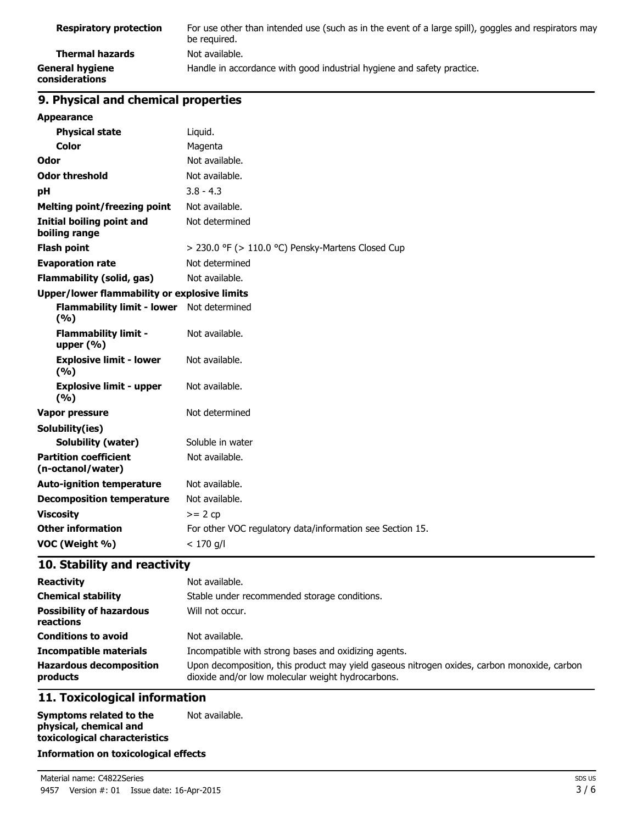| <b>Respiratory protection</b>            | For use other than intended use (such as in the event of a large spill), goggles and respirators may<br>be required. |
|------------------------------------------|----------------------------------------------------------------------------------------------------------------------|
| Thermal hazards                          | Not available.                                                                                                       |
| <b>General hygiene</b><br>considerations | Handle in accordance with good industrial hygiene and safety practice.                                               |

## **9. Physical and chemical properties**

| 2. Filysical and chemical properties                |                                                           |
|-----------------------------------------------------|-----------------------------------------------------------|
| <b>Appearance</b>                                   |                                                           |
| <b>Physical state</b>                               | Liquid.                                                   |
| <b>Color</b>                                        | Magenta                                                   |
| Odor                                                | Not available.                                            |
| <b>Odor threshold</b>                               | Not available.                                            |
| рH                                                  | $3.8 - 4.3$                                               |
| <b>Melting point/freezing point</b>                 | Not available.                                            |
| <b>Initial boiling point and</b><br>boiling range   | Not determined                                            |
| <b>Flash point</b>                                  | > 230.0 °F (> 110.0 °C) Pensky-Martens Closed Cup         |
| <b>Evaporation rate</b>                             | Not determined                                            |
| <b>Flammability (solid, gas)</b>                    | Not available.                                            |
| <b>Upper/lower flammability or explosive limits</b> |                                                           |
| <b>Flammability limit - lower</b><br>(%)            | Not determined                                            |
| <b>Flammability limit -</b><br>upper $(% )$         | Not available.                                            |
| <b>Explosive limit - lower</b><br>(%)               | Not available.                                            |
| <b>Explosive limit - upper</b><br>(9/6)             | Not available.                                            |
| <b>Vapor pressure</b>                               | Not determined                                            |
| Solubility(ies)                                     |                                                           |
| <b>Solubility (water)</b>                           | Soluble in water                                          |
| <b>Partition coefficient</b><br>(n-octanol/water)   | Not available.                                            |
| <b>Auto-ignition temperature</b>                    | Not available.                                            |
| <b>Decomposition temperature</b>                    | Not available.                                            |
| <b>Viscosity</b>                                    | $>= 2 cp$                                                 |
| <b>Other information</b>                            | For other VOC regulatory data/information see Section 15. |
| VOC (Weight %)                                      | $< 170$ a/l                                               |

## **10. Stability and reactivity**

| <b>Reactivity</b>                            | Not available.                                                                                                                                   |
|----------------------------------------------|--------------------------------------------------------------------------------------------------------------------------------------------------|
| <b>Chemical stability</b>                    | Stable under recommended storage conditions.                                                                                                     |
| <b>Possibility of hazardous</b><br>reactions | Will not occur.                                                                                                                                  |
| <b>Conditions to avoid</b>                   | Not available.                                                                                                                                   |
| <b>Incompatible materials</b>                | Incompatible with strong bases and oxidizing agents.                                                                                             |
| <b>Hazardous decomposition</b><br>products   | Upon decomposition, this product may yield gaseous nitrogen oxides, carbon monoxide, carbon<br>dioxide and/or low molecular weight hydrocarbons. |

## **11. Toxicological information**

| Symptoms related to the       | Not available. |
|-------------------------------|----------------|
| physical, chemical and        |                |
| toxicological characteristics |                |

#### **Information on toxicological effects**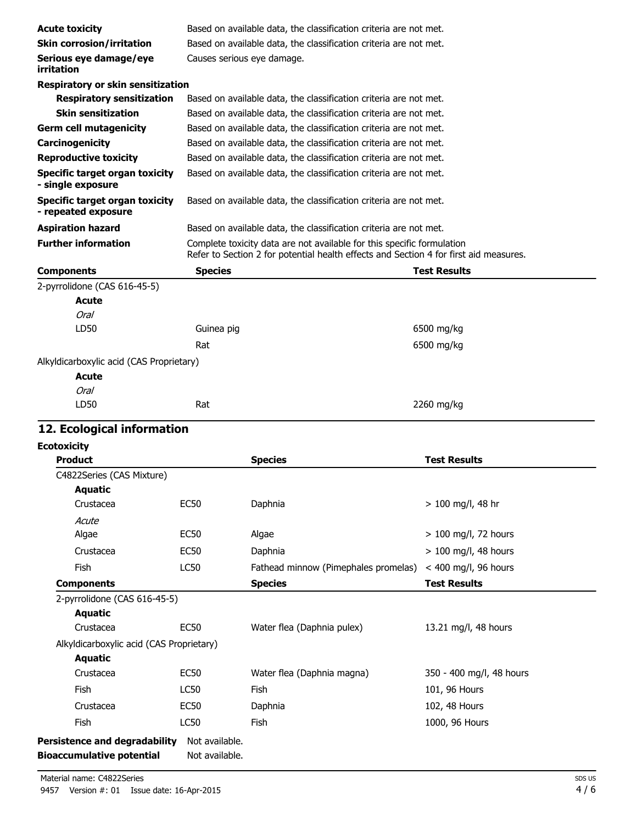| <b>Acute toxicity</b>                                        | Based on available data, the classification criteria are not met. |                                                                                                                                                                 |                        |
|--------------------------------------------------------------|-------------------------------------------------------------------|-----------------------------------------------------------------------------------------------------------------------------------------------------------------|------------------------|
| <b>Skin corrosion/irritation</b>                             |                                                                   | Based on available data, the classification criteria are not met.                                                                                               |                        |
| Serious eye damage/eye<br>irritation                         | Causes serious eye damage.                                        |                                                                                                                                                                 |                        |
| Respiratory or skin sensitization                            |                                                                   |                                                                                                                                                                 |                        |
| <b>Respiratory sensitization</b>                             |                                                                   | Based on available data, the classification criteria are not met.                                                                                               |                        |
| <b>Skin sensitization</b>                                    |                                                                   | Based on available data, the classification criteria are not met.                                                                                               |                        |
| <b>Germ cell mutagenicity</b>                                |                                                                   | Based on available data, the classification criteria are not met.                                                                                               |                        |
| Carcinogenicity                                              |                                                                   | Based on available data, the classification criteria are not met.                                                                                               |                        |
| <b>Reproductive toxicity</b>                                 |                                                                   | Based on available data, the classification criteria are not met.                                                                                               |                        |
| <b>Specific target organ toxicity</b><br>- single exposure   |                                                                   | Based on available data, the classification criteria are not met.                                                                                               |                        |
| <b>Specific target organ toxicity</b><br>- repeated exposure |                                                                   | Based on available data, the classification criteria are not met.                                                                                               |                        |
| <b>Aspiration hazard</b>                                     |                                                                   | Based on available data, the classification criteria are not met.                                                                                               |                        |
| <b>Further information</b>                                   |                                                                   | Complete toxicity data are not available for this specific formulation<br>Refer to Section 2 for potential health effects and Section 4 for first aid measures. |                        |
| <b>Components</b>                                            | <b>Species</b>                                                    |                                                                                                                                                                 | <b>Test Results</b>    |
| 2-pyrrolidone (CAS 616-45-5)                                 |                                                                   |                                                                                                                                                                 |                        |
| <b>Acute</b>                                                 |                                                                   |                                                                                                                                                                 |                        |
| Oral                                                         |                                                                   |                                                                                                                                                                 |                        |
| LD50                                                         | Guinea pig                                                        |                                                                                                                                                                 | 6500 mg/kg             |
|                                                              | Rat                                                               |                                                                                                                                                                 | 6500 mg/kg             |
| Alkyldicarboxylic acid (CAS Proprietary)                     |                                                                   |                                                                                                                                                                 |                        |
| <b>Acute</b>                                                 |                                                                   |                                                                                                                                                                 |                        |
| Oral                                                         |                                                                   |                                                                                                                                                                 |                        |
| LD50                                                         | Rat                                                               |                                                                                                                                                                 | 2260 mg/kg             |
| 12. Ecological information                                   |                                                                   |                                                                                                                                                                 |                        |
| <b>Ecotoxicity</b>                                           |                                                                   |                                                                                                                                                                 |                        |
| <b>Product</b>                                               |                                                                   | <b>Species</b>                                                                                                                                                  | <b>Test Results</b>    |
| C4822Series (CAS Mixture)                                    |                                                                   |                                                                                                                                                                 |                        |
| <b>Aquatic</b>                                               |                                                                   |                                                                                                                                                                 |                        |
| Crustacea                                                    | EC <sub>50</sub>                                                  | Daphnia                                                                                                                                                         | $> 100$ mg/l, 48 hr    |
| Acute                                                        |                                                                   |                                                                                                                                                                 |                        |
| Algae                                                        | <b>EC50</b>                                                       | Algae                                                                                                                                                           | > 100 mg/l, 72 hours   |
| Crustacea                                                    | <b>EC50</b>                                                       | Daphnia                                                                                                                                                         | $> 100$ mg/l, 48 hours |
| Fish                                                         | <b>LC50</b>                                                       | Fathead minnow (Pimephales promelas)                                                                                                                            | $<$ 400 mg/l, 96 hours |

**Components Species Test Results**

Crustacea EC50 Water flea (Daphnia pulex) 13.21 mg/l, 48 hours

Crustacea EC50 Water flea (Daphnia magna) 350 - 400 mg/l, 48 hours

Fish 101, 96 Hours LC50 Fish 101, 96 Hours Crustacea EC50 Daphnia 102, 48 Hours Fish 1000, 96 Hours

Alkyldicarboxylic acid (CAS Proprietary)

2-pyrrolidone (CAS 616-45-5)

**Aquatic**

**Aquatic**

**Persistence and degradability** Not available. **Bioaccumulative potential** Not available.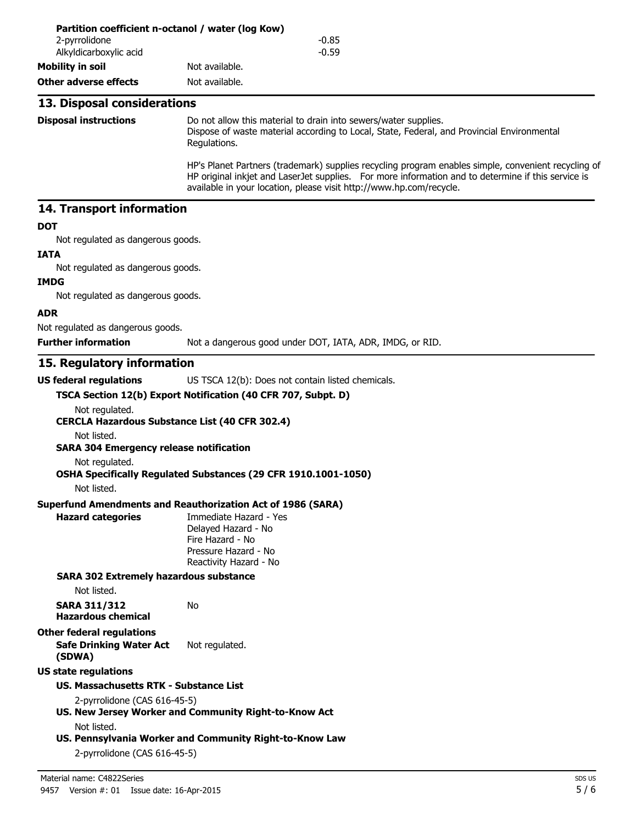| 2-pyrrolidone<br>Alkyldicarboxylic acid                                      | $-0.85$<br>$-0.59$                                                                                                                                                                                                                                                               |
|------------------------------------------------------------------------------|----------------------------------------------------------------------------------------------------------------------------------------------------------------------------------------------------------------------------------------------------------------------------------|
| <b>Mobility in soil</b>                                                      | Not available.                                                                                                                                                                                                                                                                   |
| <b>Other adverse effects</b>                                                 | Not available.                                                                                                                                                                                                                                                                   |
|                                                                              |                                                                                                                                                                                                                                                                                  |
| 13. Disposal considerations                                                  |                                                                                                                                                                                                                                                                                  |
| <b>Disposal instructions</b>                                                 | Do not allow this material to drain into sewers/water supplies.<br>Dispose of waste material according to Local, State, Federal, and Provincial Environmental<br>Regulations.                                                                                                    |
|                                                                              | HP's Planet Partners (trademark) supplies recycling program enables simple, convenient recycling of<br>HP original inkjet and LaserJet supplies. For more information and to determine if this service is<br>available in your location, please visit http://www.hp.com/recycle. |
| 14. Transport information                                                    |                                                                                                                                                                                                                                                                                  |
| <b>DOT</b>                                                                   |                                                                                                                                                                                                                                                                                  |
| Not regulated as dangerous goods.                                            |                                                                                                                                                                                                                                                                                  |
| <b>IATA</b>                                                                  |                                                                                                                                                                                                                                                                                  |
| Not regulated as dangerous goods.<br><b>IMDG</b>                             |                                                                                                                                                                                                                                                                                  |
| Not regulated as dangerous goods.                                            |                                                                                                                                                                                                                                                                                  |
| <b>ADR</b>                                                                   |                                                                                                                                                                                                                                                                                  |
| Not regulated as dangerous goods.                                            |                                                                                                                                                                                                                                                                                  |
| <b>Further information</b>                                                   | Not a dangerous good under DOT, IATA, ADR, IMDG, or RID.                                                                                                                                                                                                                         |
| 15. Regulatory information                                                   |                                                                                                                                                                                                                                                                                  |
| <b>US federal regulations</b>                                                | US TSCA 12(b): Does not contain listed chemicals.                                                                                                                                                                                                                                |
|                                                                              | TSCA Section 12(b) Export Notification (40 CFR 707, Subpt. D)                                                                                                                                                                                                                    |
| Not regulated.<br><b>CERCLA Hazardous Substance List (40 CFR 302.4)</b>      |                                                                                                                                                                                                                                                                                  |
| Not listed.<br><b>SARA 304 Emergency release notification</b>                |                                                                                                                                                                                                                                                                                  |
| Not regulated.<br>Not listed.                                                | OSHA Specifically Regulated Substances (29 CFR 1910.1001-1050)                                                                                                                                                                                                                   |
|                                                                              | <b>Superfund Amendments and Reauthorization Act of 1986 (SARA)</b>                                                                                                                                                                                                               |
| <b>Hazard categories</b>                                                     | Immediate Hazard - Yes<br>Delayed Hazard - No<br>Fire Hazard - No<br>Pressure Hazard - No<br>Reactivity Hazard - No                                                                                                                                                              |
| <b>SARA 302 Extremely hazardous substance</b>                                |                                                                                                                                                                                                                                                                                  |
| Not listed.                                                                  |                                                                                                                                                                                                                                                                                  |
| <b>SARA 311/312</b><br><b>Hazardous chemical</b>                             | No                                                                                                                                                                                                                                                                               |
| <b>Other federal regulations</b><br><b>Safe Drinking Water Act</b><br>(SDWA) | Not regulated.                                                                                                                                                                                                                                                                   |
| <b>US state regulations</b>                                                  |                                                                                                                                                                                                                                                                                  |
| <b>US. Massachusetts RTK - Substance List</b>                                |                                                                                                                                                                                                                                                                                  |
| 2-pyrrolidone (CAS 616-45-5)                                                 | US. New Jersey Worker and Community Right-to-Know Act                                                                                                                                                                                                                            |
| Not listed.                                                                  | US. Pennsylvania Worker and Community Right-to-Know Law<br>2-pyrrolidone (CAS 616-45-5)                                                                                                                                                                                          |